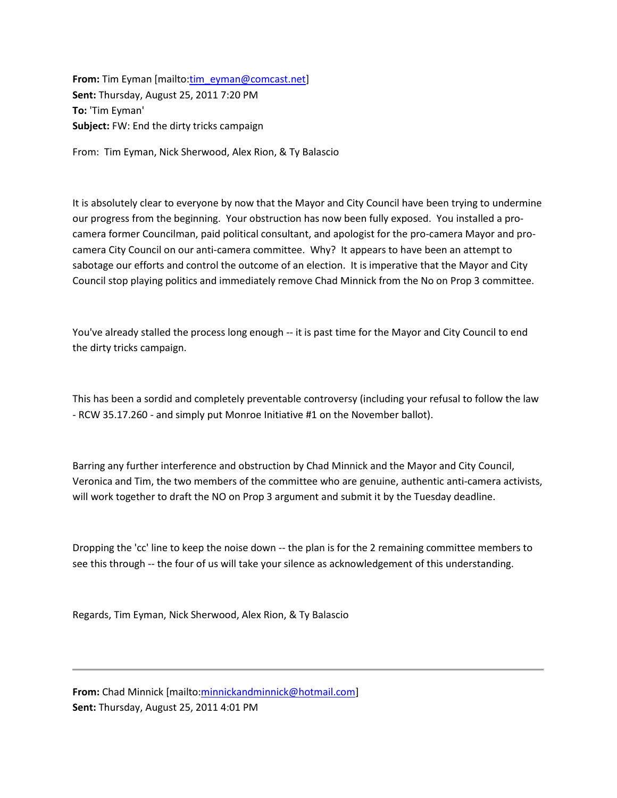**From:** Tim Eyman [mailto[:tim\\_eyman@comcast.net\]](mailto:tim_eyman@comcast.net) **Sent:** Thursday, August 25, 2011 7:20 PM **To:** 'Tim Eyman' **Subject:** FW: End the dirty tricks campaign

From: Tim Eyman, Nick Sherwood, Alex Rion, & Ty Balascio

It is absolutely clear to everyone by now that the Mayor and City Council have been trying to undermine our progress from the beginning. Your obstruction has now been fully exposed. You installed a procamera former Councilman, paid political consultant, and apologist for the pro-camera Mayor and procamera City Council on our anti-camera committee. Why? It appears to have been an attempt to sabotage our efforts and control the outcome of an election. It is imperative that the Mayor and City Council stop playing politics and immediately remove Chad Minnick from the No on Prop 3 committee.

You've already stalled the process long enough -- it is past time for the Mayor and City Council to end the dirty tricks campaign.

This has been a sordid and completely preventable controversy (including your refusal to follow the law - RCW 35.17.260 - and simply put Monroe Initiative #1 on the November ballot).

Barring any further interference and obstruction by Chad Minnick and the Mayor and City Council, Veronica and Tim, the two members of the committee who are genuine, authentic anti-camera activists, will work together to draft the NO on Prop 3 argument and submit it by the Tuesday deadline.

Dropping the 'cc' line to keep the noise down -- the plan is for the 2 remaining committee members to see this through -- the four of us will take your silence as acknowledgement of this understanding.

Regards, Tim Eyman, Nick Sherwood, Alex Rion, & Ty Balascio

**From:** Chad Minnick [mailto[:minnickandminnick@hotmail.com\]](mailto:minnickandminnick@hotmail.com) **Sent:** Thursday, August 25, 2011 4:01 PM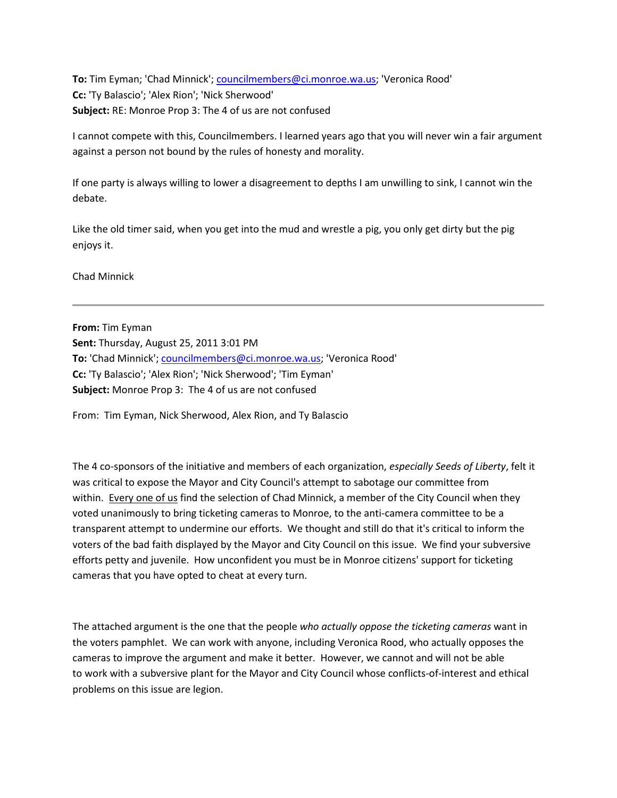**To:** Tim Eyman; 'Chad Minnick'; [councilmembers@ci.monroe.wa.us;](mailto:councilmembers@ci.monroe.wa.us) 'Veronica Rood' **Cc:** 'Ty Balascio'; 'Alex Rion'; 'Nick Sherwood' **Subject:** RE: Monroe Prop 3: The 4 of us are not confused

I cannot compete with this, Councilmembers. I learned years ago that you will never win a fair argument against a person not bound by the rules of honesty and morality.

If one party is always willing to lower a disagreement to depths I am unwilling to sink, I cannot win the debate.

Like the old timer said, when you get into the mud and wrestle a pig, you only get dirty but the pig enjoys it.

Chad Minnick

**From:** Tim Eyman **Sent:** Thursday, August 25, 2011 3:01 PM **To:** 'Chad Minnick'; [councilmembers@ci.monroe.wa.us;](mailto:councilmembers@ci.monroe.wa.us) 'Veronica Rood' **Cc:** 'Ty Balascio'; 'Alex Rion'; 'Nick Sherwood'; 'Tim Eyman' **Subject:** Monroe Prop 3: The 4 of us are not confused

From: Tim Eyman, Nick Sherwood, Alex Rion, and Ty Balascio

The 4 co-sponsors of the initiative and members of each organization, *especially Seeds of Liberty*, felt it was critical to expose the Mayor and City Council's attempt to sabotage our committee from within. Every one of us find the selection of Chad Minnick, a member of the City Council when they voted unanimously to bring ticketing cameras to Monroe, to the anti-camera committee to be a transparent attempt to undermine our efforts. We thought and still do that it's critical to inform the voters of the bad faith displayed by the Mayor and City Council on this issue. We find your subversive efforts petty and juvenile. How unconfident you must be in Monroe citizens' support for ticketing cameras that you have opted to cheat at every turn.

The attached argument is the one that the people *who actually oppose the ticketing cameras* want in the voters pamphlet. We can work with anyone, including Veronica Rood, who actually opposes the cameras to improve the argument and make it better. However, we cannot and will not be able to work with a subversive plant for the Mayor and City Council whose conflicts-of-interest and ethical problems on this issue are legion.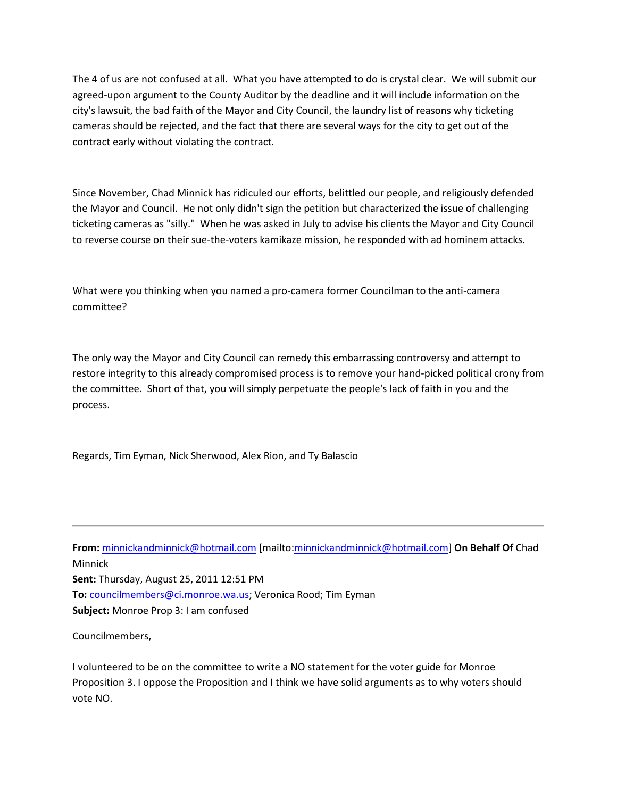The 4 of us are not confused at all. What you have attempted to do is crystal clear. We will submit our agreed-upon argument to the County Auditor by the deadline and it will include information on the city's lawsuit, the bad faith of the Mayor and City Council, the laundry list of reasons why ticketing cameras should be rejected, and the fact that there are several ways for the city to get out of the contract early without violating the contract.

Since November, Chad Minnick has ridiculed our efforts, belittled our people, and religiously defended the Mayor and Council. He not only didn't sign the petition but characterized the issue of challenging ticketing cameras as "silly." When he was asked in July to advise his clients the Mayor and City Council to reverse course on their sue-the-voters kamikaze mission, he responded with ad hominem attacks.

What were you thinking when you named a pro-camera former Councilman to the anti-camera committee?

The only way the Mayor and City Council can remedy this embarrassing controversy and attempt to restore integrity to this already compromised process is to remove your hand-picked political crony from the committee. Short of that, you will simply perpetuate the people's lack of faith in you and the process.

Regards, Tim Eyman, Nick Sherwood, Alex Rion, and Ty Balascio

**From:** [minnickandminnick@hotmail.com](mailto:minnickandminnick@hotmail.com) [mailto[:minnickandminnick@hotmail.com\]](mailto:minnickandminnick@hotmail.com) **On Behalf Of** Chad Minnick **Sent:** Thursday, August 25, 2011 12:51 PM **To:** [councilmembers@ci.monroe.wa.us;](mailto:councilmembers@ci.monroe.wa.us) Veronica Rood; Tim Eyman **Subject:** Monroe Prop 3: I am confused

Councilmembers,

I volunteered to be on the committee to write a NO statement for the voter guide for Monroe Proposition 3. I oppose the Proposition and I think we have solid arguments as to why voters should vote NO.